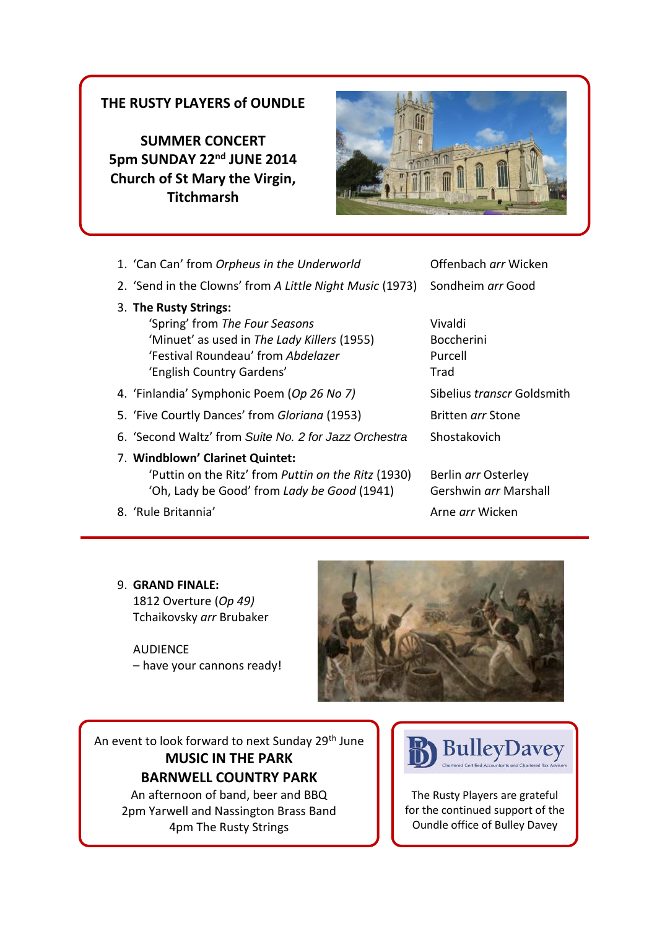## **THE RUSTY PLAYERS of OUNDLE**

**SUMMER CONCERT 5pm SUNDAY 22nd JUNE 2014 Church of St Mary the Virgin, Titchmarsh**



- 1. 'Can Can' from *Orpheus in the Underworld* **Canada Cane Can Can Contained Property** Offenbach *arr* Wicken
- 2. 'Send in the Clowns' from *A Little Night Music* (1973) Sondheim *arr* Good
- 3. **The Rusty Strings:**

ľ

 'Spring' from *The Four Seasons* Vivaldi 'Minuet' as used in *The Lady Killers* (1955) Boccherini 'Festival Roundeau' from *Abdelazer* Purcell 'English Country Gardens' Trad

- 4. 'Finlandia' Symphonic Poem (Op 26 No 7) Sibelius *transcr* Goldsmith
- 5. 'Five Courtly Dances' from *Gloriana* (1953) Britten *arr* Stone
- 6. 'Second Waltz' from *Suite No. 2 for Jazz Orchestra* Shostakovich
- 7. **Windblown' Clarinet Quintet:** 'Puttin on the Ritz' from *Puttin on the Ritz* (1930) Berlin *arr* Osterley 'Oh, Lady be Good' from *Lady be Good* (1941) Gershwin *arr* Marshall
- 8. 'Rule Britannia' Arne *arr* Wicken

### 9. **GRAND FINALE:**

 1812 Overture (*Op 49)*  Tchaikovsky *arr* Brubaker

**AUDIFNCF** – have your cannons ready!



An event to look forward to next Sunday 29<sup>th</sup> June **MUSIC IN THE PARK BARNWELL COUNTRY PARK** An afternoon of band, beer and BBQ

2pm Yarwell and Nassington Brass Band 4pm The Rusty Strings



The Rusty Players are grateful for the continued support of the Oundle office of Bulley Davey